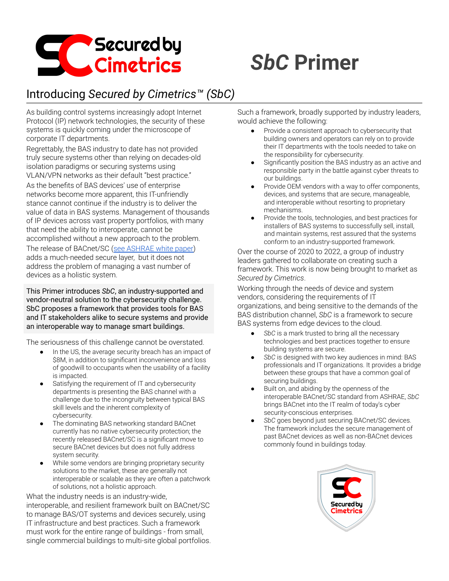

# *SbC* **Primer**

# Introducing *Secured by Cimetrics™ (SbC)*

As building control systems increasingly adopt Internet Protocol (IP) network technologies, the security of these systems is quickly coming under the microscope of corporate IT departments.

Regrettably, the BAS industry to date has not provided truly secure systems other than relying on decades-old isolation paradigms or securing systems using VLAN/VPN networks as their default "best practice."

As the benefits of BAS devices' use of enterprise networks become more apparent, this IT-unfriendly stance cannot continue if the industry is to deliver the value of data in BAS systems. Management of thousands of IP devices across vast property portfolios, with many that need the ability to interoperate, cannot be accomplished without a new approach to the problem.

The release of BACnet/SC (see [ASHRAE](https://www.ashrae.org/File%20Library/Technical%20Resources/Bookstore/BACnet-SC-Whitepaper-v10_Final_20180710.pdf) white paper) adds a much-needed secure layer, but it does not address the problem of managing a vast number of devices as a holistic system.

This Primer introduces *SbC*, an industry-supported and vendor-neutral solution to the cybersecurity challenge. SbC proposes a framework that provides tools for BAS and IT stakeholders alike to secure systems and provide an interoperable way to manage smart buildings.

The seriousness of this challenge cannot be overstated.

- In the US, the average security breach has an impact of \$8M, in addition to significant inconvenience and loss of goodwill to occupants when the usability of a facility is impacted.
- Satisfying the requirement of IT and cybersecurity departments is presenting the BAS channel with a challenge due to the incongruity between typical BAS skill levels and the inherent complexity of cybersecurity.
- The dominating BAS networking standard BACnet currently has no native cybersecurity protection; the recently released BACnet/SC is a significant move to secure BACnet devices but does not fully address system security.
- While some vendors are bringing proprietary security solutions to the market, these are generally not interoperable or scalable as they are often a patchwork of solutions, not a holistic approach.

What the industry needs is an industry-wide, interoperable, and resilient framework built on BACnet/SC to manage BAS/OT systems and devices securely, using IT infrastructure and best practices. Such a framework must work for the entire range of buildings - from small, single commercial buildings to multi-site global portfolios. Such a framework, broadly supported by industry leaders, would achieve the following:

- Provide a consistent approach to cybersecurity that building owners and operators can rely on to provide their IT departments with the tools needed to take on the responsibility for cybersecurity.
- Significantly position the BAS industry as an active and responsible party in the battle against cyber threats to our buildings.
- Provide OEM vendors with a way to offer components, devices, and systems that are secure, manageable, and interoperable without resorting to proprietary mechanisms.
- Provide the tools, technologies, and best practices for installers of BAS systems to successfully sell, install, and maintain systems, rest assured that the systems conform to an industry-supported framework.

Over the course of 2020 to 2022, a group of industry leaders gathered to collaborate on creating such a framework. This work is now being brought to market as *Secured by Cimetrics*.

Working through the needs of device and system vendors, considering the requirements of IT organizations, and being sensitive to the demands of the BAS distribution channel, *SbC* is a framework to secure BAS systems from edge devices to the cloud.

- SbC is a mark trusted to bring all the necessary technologies and best practices together to ensure building systems are secure.
- SbC is designed with two key audiences in mind: BAS professionals and IT organizations. It provides a bridge between these groups that have a common goal of securing buildings.
- Built on, and abiding by the openness of the interoperable BACnet/SC standard from ASHRAE, *SbC* brings BACnet into the IT realm of today's cyber security-conscious enterprises.
- SbC goes beyond just securing BACnet/SC devices. The framework includes the secure management of past BACnet devices as well as non-BACnet devices commonly found in buildings today.

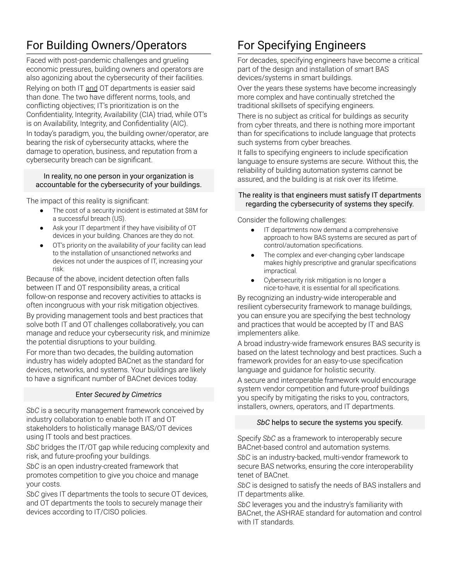# For Building Owners/Operators

Faced with post-pandemic challenges and grueling economic pressures, building owners and operators are also agonizing about the cybersecurity of their facilities.

Relying on both IT and OT departments is easier said than done. The two have different norms, tools, and conflicting objectives; IT's prioritization is on the Confidentiality, Integrity, Availability (CIA) triad, while OT's is on Availability, Integrity, and Confidentiality (AIC). In today's paradigm, you, the building owner/operator, are bearing the risk of cybersecurity attacks, where the damage to operation, business, and reputation from a cybersecurity breach can be significant.

#### In reality, no one person in your organization is accountable for the cybersecurity of your buildings.

The impact of this reality is significant:

- The cost of a security incident is estimated at \$8M for a successful breach (US).
- Ask your IT department if they have visibility of OT devices in your building. Chances are they do not.
- OT's priority on the availability of *your* facility can lead to the installation of unsanctioned networks and devices not under the auspices of IT, increasing your risk.

Because of the above, incident detection often falls between IT and OT responsibility areas, a critical follow-on response and recovery activities to attacks is often incongruous with your risk mitigation objectives. By providing management tools and best practices that solve both IT and OT challenges collaboratively, you can manage and reduce your cybersecurity risk, and minimize the potential disruptions to your building.

For more than two decades, the building automation industry has widely adopted BACnet as the standard for devices, networks, and systems. Your buildings are likely to have a significant number of BACnet devices today.

#### Enter *Secured by Cimetrics*

*SbC* is a security management framework conceived by industry collaboration to enable both IT and OT stakeholders to holistically manage BAS/OT devices using IT tools and best practices.

*SbC* bridges the IT/OT gap while reducing complexity and risk, and future-proofing your buildings.

*SbC* is an open industry-created framework that promotes competition to give you choice and manage your costs.

*SbC* gives IT departments the tools to secure OT devices, and OT departments the tools to securely manage their devices according to IT/CISO policies.

### For Specifying Engineers

For decades, specifying engineers have become a critical part of the design and installation of smart BAS devices/systems in smart buildings.

Over the years these systems have become increasingly more complex and have continually stretched the traditional skillsets of specifying engineers.

There is no subject as critical for buildings as security from cyber threats, and there is nothing more important than for specifications to include language that protects such systems from cyber breaches.

It falls to specifying engineers to include specification language to ensure systems are secure. Without this, the reliability of building automation systems cannot be assured, and the building is at risk over its lifetime.

#### The reality is that engineers must satisfy IT departments regarding the cybersecurity of systems they specify.

Consider the following challenges:

- IT departments now demand a comprehensive approach to how BAS systems are secured as part of control/automation specifications.
- The complex and ever-changing cyber landscape makes highly prescriptive and granular specifications impractical.
- Cybersecurity risk mitigation is no longer a nice-to-have, it is essential for all specifications.

By recognizing an industry-wide interoperable and resilient cybersecurity framework to manage buildings, you can ensure you are specifying the best technology and practices that would be accepted by IT and BAS implementers alike.

A broad industry-wide framework ensures BAS security is based on the latest technology and best practices. Such a framework provides for an easy-to-use specification language and guidance for holistic security.

A secure and interoperable framework would encourage system vendor competition and future-proof buildings you specify by mitigating the risks to you, contractors, installers, owners, operators, and IT departments.

#### *SbC* helps to secure the systems you specify.

Specify *SbC* as a framework to interoperably secure BACnet-based control and automation systems. *SbC* is an industry-backed, multi-vendor framework to secure BAS networks, ensuring the core interoperability tenet of BACnet.

*SbC* is designed to satisfy the needs of BAS installers and IT departments alike.

*SbC* leverages you and the industry's familiarity with BACnet, the ASHRAE standard for automation and control with IT standards.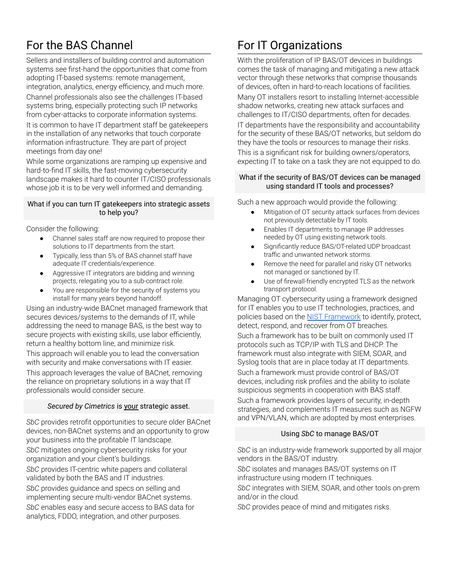# For the BAS Channel

Sellers and installers of building control and automation systems see first-hand the opportunities that come from adopting IT-based systems: remote management, integration, analytics, energy efficiency, and much more. Channel professionals also see the challenges IT-based systems bring, especially protecting such IP networks from cyber-attacks to corporate information systems.

It is common to have IT department staff be gatekeepers in the installation of any networks that touch corporate information infrastructure. They are part of project meetings from day one!

While some organizations are ramping up expensive and hard-to-find IT skills, the fast-moving cybersecurity landscape makes it hard to counter IT/CISO professionals whose job it is to be very well informed and demanding.

#### What if you can turn IT gatekeepers into strategic assets to help you?

Consider the following:

- Channel sales staff are now required to propose their solutions to IT departments from the start.
- Typically, less than 5% of BAS channel staff have adequate IT credentials/experience.
- Aggressive IT integrators are bidding and winning projects, relegating you to a sub-contract role.
- You are responsible for the security of systems you install for many years beyond handoff.

Using an industry-wide BACnet managed framework that secures devices/systems to the demands of IT, while addressing the need to manage BAS, is the best way to secure projects with existing skills, use labor efficiently, return a healthy bottom line, and minimize risk.

This approach will enable you to lead the conversation with security and make conversations with IT easier. This approach leverages the value of BACnet, removing the reliance on proprietary solutions in a way that IT professionals would consider secure.

#### *Secured by Cimetrics* is your strategic asset.

*SbC* provides retrofit opportunities to secure older BACnet devices, non-BACnet systems and an opportunity to grow your business into the profitable IT landscape. *SbC* mitigates ongoing cybersecurity risks for your organization and your client's buildings.

*SbC* provides IT-centric white papers and collateral validated by both the BAS and IT industries.

*SbC* provides guidance and specs on selling and implementing secure multi-vendor BACnet systems.

*SbC* enables easy and secure access to BAS data for analytics, FDDO, integration, and other purposes.

# For IT Organizations

With the proliferation of IP BAS/OT devices in buildings comes the task of managing and mitigating a new attack vector through these networks that comprise thousands of devices, often in hard-to-reach locations of facilities. Many OT installers resort to installing Internet-accessible shadow networks, creating new attack surfaces and challenges to IT/CISO departments, often for decades. IT departments have the responsibility and accountability for the security of these BAS/OT networks, but seldom do they have the tools or resources to manage their risks. This is a significant risk for building owners/operators, expecting IT to take on a task they are not equipped to do.

#### What if the security of BAS/OT devices can be managed using standard IT tools and processes?

Such a new approach would provide the following:

- Mitigation of OT security attack surfaces from devices not previously detectable by IT tools.
- Enables IT departments to manage IP addresses needed by OT using existing network tools.
- Significantly reduce BAS/OT-related UDP broadcast traffic and unwanted network storms.
- Remove the need for parallel and risky OT networks not managed or sanctioned by IT.
- Use of firewall-friendly encrypted TLS as the network transport protocol.

Managing OT cybersecurity using a framework designed for IT enables you to use IT technologies, practices, and policies based on the NIST [Framework](https://www.nist.gov/cyberframework) to identify, protect, detect, respond, and recover from OT breaches.

Such a framework has to be built on commonly used IT protocols such as TCP/IP with TLS and DHCP. The framework must also integrate with SIEM, SOAR, and Syslog tools that are in place today at IT departments.

Such a framework must provide control of BAS/OT devices, including risk profiles and the ability to isolate suspicious segments in cooperation with BAS staff. Such a framework provides layers of security, in-depth strategies, and complements IT measures such as NGFW and VPN/VLAN, which are adopted by most enterprises.

#### Using *SbC* to manage BAS/OT

*SbC* is an industry-wide framework supported by all major vendors in the BAS/OT industry.

*SbC* isolates and manages BAS/OT systems on IT infrastructure using modern IT techniques.

*SbC* integrates with SIEM, SOAR, and other tools on-prem and/or in the cloud.

*SbC* provides peace of mind and mitigates risks.